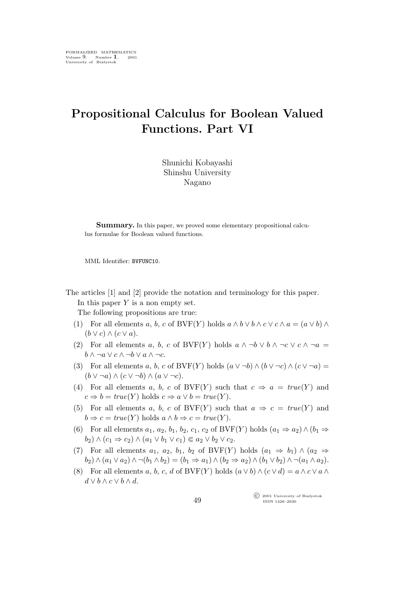## **Propositional Calculus for Boolean Valued Functions. Part VI**

Shunichi Kobayashi Shinshu University Nagano

**Summary.** In this paper, we proved some elementary propositional calculus formulae for Boolean valued functions.

MML Identifier: BVFUNC10.

The articles [1] and [2] provide the notation and terminology for this paper. In this paper  $Y$  is a non empty set.

The following propositions are true:

- (1) For all elements a, b, c of BVF(Y) holds  $a \wedge b \vee b \wedge c \vee c \wedge a = (a \vee b) \wedge c$  $(b \vee c) \wedge (c \vee a).$
- (2) For all elements a, b, c of BVF(Y) holds  $a \wedge \neg b \vee b \wedge \neg c \vee c \wedge \neg a$ b *∧ ¬*a *∨* c *∧ ¬*b *∨* a *∧ ¬*c.
- (3) For all elements a, b, c of BVF(Y) holds  $(a \lor \neg b) \land (b \lor \neg c) \land (c \lor \neg a)$ (b *∨ ¬*a) *∧* (c *∨ ¬*b) *∧* (a *∨ ¬*c).
- (4) For all elements a, b, c of BVF(Y) such that  $c \Rightarrow a = true(Y)$  and  $c \Rightarrow b = true(Y)$  holds  $c \Rightarrow a \lor b = true(Y)$ .
- (5) For all elements a, b, c of BVF(Y) such that  $a \Rightarrow c = true(Y)$  and  $b \Rightarrow c = true(Y)$  holds  $a \land b \Rightarrow c = true(Y)$ .
- (6) For all elements  $a_1, a_2, b_1, b_2, c_1, c_2$  of BVF(Y) holds  $(a_1 \Rightarrow a_2) \land (b_1 \Rightarrow b_2)$  $(b_2) \wedge (c_1 \Rightarrow c_2) \wedge (a_1 \vee b_1 \vee c_1) \in a_2 \vee b_2 \vee c_2.$
- (7) For all elements  $a_1, a_2, b_1, b_2$  of BVF(Y) holds  $(a_1 \Rightarrow b_1) \wedge (a_2 \Rightarrow b_2)$  $b_2)$  ∧  $(a_1 \vee a_2)$  ∧  $\neg(b_1 \wedge b_2) = (b_1 \Rightarrow a_1) \wedge (b_2 \Rightarrow a_2) \wedge (b_1 \vee b_2) \wedge \neg(a_1 \wedge a_2).$
- (8) For all elements a, b, c, d of BVF(Y) holds  $(a \vee b) \wedge (c \vee d) = a \wedge c \vee a \wedge c$ d *∨* b *∧* c *∨* b *∧* d.

°c 2001 University of Białystok ISSN 1426–2630